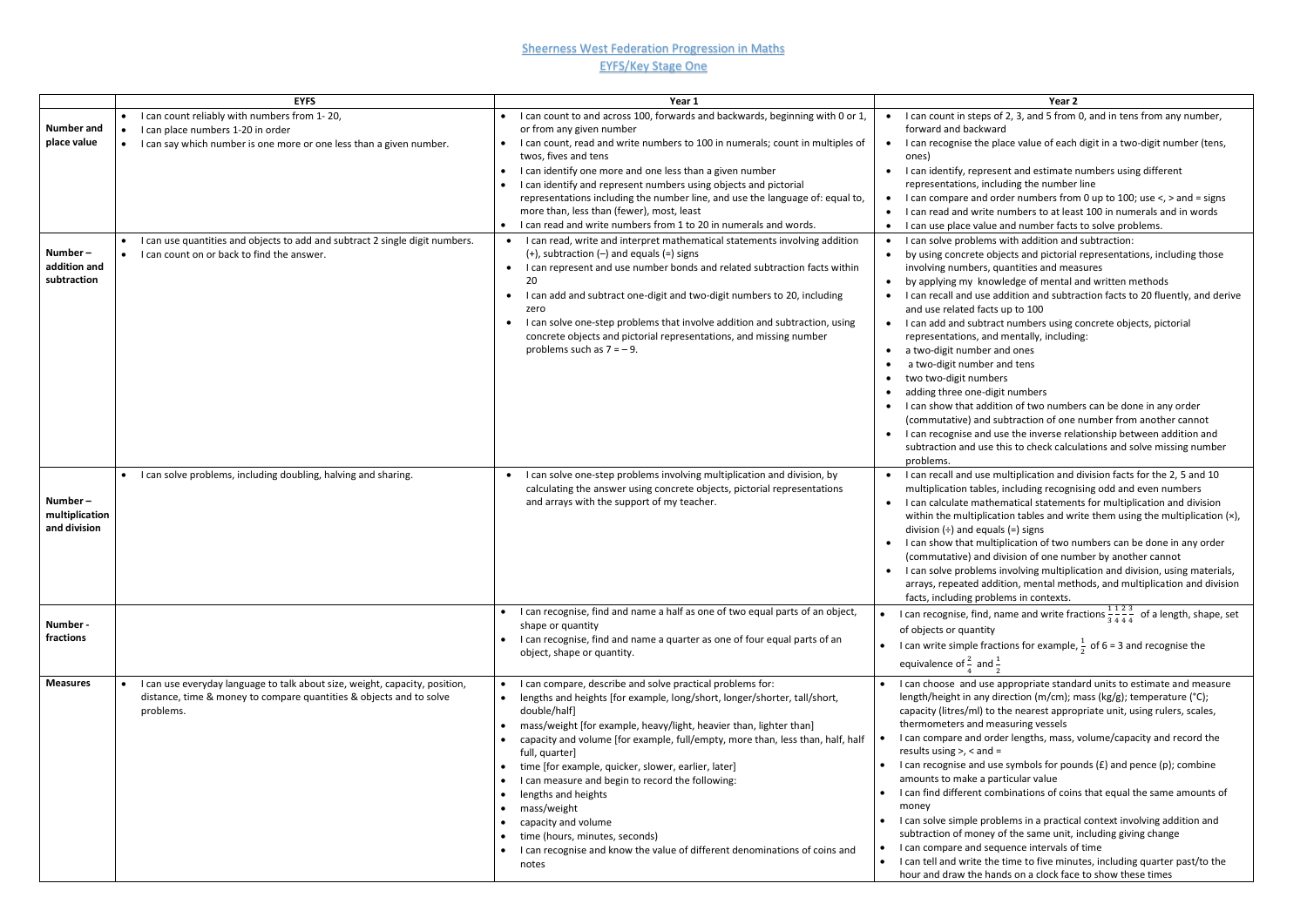## **Sheerness West Federation Progression in Maths** EYFS/Key Stage One

| <b>Number and</b>                         | <b>EYFS</b><br>I can count reliably with numbers from 1-20,<br>I can place numbers 1-20 in order                                                                | Year 1<br>I can count to and across 100, forwards and backwards, beginning with 0 or 1<br>or from any given number                                                                                                                                                                                                                                                                                                                                                                                                                                                                                                                                                       | Year 2<br>I can count in steps of 2, 3, and 5 from 0, and in tens from any number,<br>$\bullet$<br>forward and backward                                                                                                                                                                                                                                                                                                                                                                                                                                                                                                                                                                                                                                                                                                                                                                                                                                                                   |
|-------------------------------------------|-----------------------------------------------------------------------------------------------------------------------------------------------------------------|--------------------------------------------------------------------------------------------------------------------------------------------------------------------------------------------------------------------------------------------------------------------------------------------------------------------------------------------------------------------------------------------------------------------------------------------------------------------------------------------------------------------------------------------------------------------------------------------------------------------------------------------------------------------------|-------------------------------------------------------------------------------------------------------------------------------------------------------------------------------------------------------------------------------------------------------------------------------------------------------------------------------------------------------------------------------------------------------------------------------------------------------------------------------------------------------------------------------------------------------------------------------------------------------------------------------------------------------------------------------------------------------------------------------------------------------------------------------------------------------------------------------------------------------------------------------------------------------------------------------------------------------------------------------------------|
| place value                               | I can say which number is one more or one less than a given number.<br>I can use quantities and objects to add and subtract 2 single digit numbers.             | I can count, read and write numbers to 100 in numerals; count in multiples of<br>$\bullet$<br>twos, fives and tens<br>I can identify one more and one less than a given number<br>$\bullet$<br>I can identify and represent numbers using objects and pictorial<br>representations including the number line, and use the language of: equal to,<br>more than, less than (fewer), most, least<br>I can read and write numbers from 1 to 20 in numerals and words.<br>I can read, write and interpret mathematical statements involving addition                                                                                                                          | I can recognise the place value of each digit in a two-digit number (tens,<br>ones)<br>I can identify, represent and estimate numbers using different<br>$\bullet$<br>representations, including the number line<br>I can compare and order numbers from 0 up to 100; use $\lt$ , $>$ and = signs<br>$\bullet$<br>I can read and write numbers to at least 100 in numerals and in words<br>$\bullet$<br>I can use place value and number facts to solve problems.<br>$\bullet$<br>I can solve problems with addition and subtraction:<br>$\bullet$                                                                                                                                                                                                                                                                                                                                                                                                                                        |
| Number-<br>addition and<br>subtraction    | I can count on or back to find the answer.                                                                                                                      | $(+)$ , subtraction $(-)$ and equals $(=)$ signs<br>I can represent and use number bonds and related subtraction facts within<br>$\bullet$<br>20<br>I can add and subtract one-digit and two-digit numbers to 20, including<br>$\bullet$<br>zero<br>I can solve one-step problems that involve addition and subtraction, using<br>$\bullet$<br>concrete objects and pictorial representations, and missing number<br>problems such as $7 = -9$ .                                                                                                                                                                                                                         | by using concrete objects and pictorial representations, including those<br>$\bullet$<br>involving numbers, quantities and measures<br>by applying my knowledge of mental and written methods<br>$\bullet$<br>I can recall and use addition and subtraction facts to 20 fluently, and derive<br>$\bullet$<br>and use related facts up to 100<br>I can add and subtract numbers using concrete objects, pictorial<br>$\bullet$<br>representations, and mentally, including:<br>a two-digit number and ones<br>$\bullet$<br>a two-digit number and tens<br>$\bullet$<br>two two-digit numbers<br>$\bullet$<br>adding three one-digit numbers<br>$\bullet$<br>I can show that addition of two numbers can be done in any order<br>$\bullet$<br>(commutative) and subtraction of one number from another cannot<br>I can recognise and use the inverse relationship between addition and<br>$\bullet$<br>subtraction and use this to check calculations and solve missing number<br>problems. |
| Number-<br>multiplication<br>and division | I can solve problems, including doubling, halving and sharing.                                                                                                  | I can solve one-step problems involving multiplication and division, by<br>calculating the answer using concrete objects, pictorial representations<br>and arrays with the support of my teacher.                                                                                                                                                                                                                                                                                                                                                                                                                                                                        | I can recall and use multiplication and division facts for the 2, 5 and 10<br>$\bullet$<br>multiplication tables, including recognising odd and even numbers<br>I can calculate mathematical statements for multiplication and division<br>$\bullet$<br>within the multiplication tables and write them using the multiplication (x),<br>division $(\div)$ and equals $(=)$ signs<br>I can show that multiplication of two numbers can be done in any order<br>$\bullet$<br>(commutative) and division of one number by another cannot<br>I can solve problems involving multiplication and division, using materials,<br>$\bullet$<br>arrays, repeated addition, mental methods, and multiplication and division<br>facts, including problems in contexts.                                                                                                                                                                                                                               |
| Number -<br>fractions                     |                                                                                                                                                                 | I can recognise, find and name a half as one of two equal parts of an object,<br>shape or quantity<br>I can recognise, find and name a quarter as one of four equal parts of an<br>$\bullet$<br>object, shape or quantity.                                                                                                                                                                                                                                                                                                                                                                                                                                               | • I can recognise, find, name and write fractions $\frac{1}{3} \frac{1}{4} \frac{2}{4} \frac{3}{4}$ of a length, shape, set<br>of objects or quantity<br>• I can write simple fractions for example, $\frac{1}{2}$ of 6 = 3 and recognise the<br>equivalence of $\frac{2}{4}$ and $\frac{1}{2}$                                                                                                                                                                                                                                                                                                                                                                                                                                                                                                                                                                                                                                                                                           |
| <b>Measures</b>                           | I can use everyday language to talk about size, weight, capacity, position,<br>distance, time & money to compare quantities & objects and to solve<br>problems. | I can compare, describe and solve practical problems for:<br>$\bullet$<br>lengths and heights [for example, long/short, longer/shorter, tall/short,<br>$\bullet$<br>double/half]<br>mass/weight [for example, heavy/light, heavier than, lighter than]<br>capacity and volume [for example, full/empty, more than, less than, half, half<br>full, quarter]<br>time [for example, quicker, slower, earlier, later]<br>I can measure and begin to record the following:<br>lengths and heights<br>mass/weight<br>$\bullet$<br>capacity and volume<br>time (hours, minutes, seconds)<br>I can recognise and know the value of different denominations of coins and<br>notes | • I can choose and use appropriate standard units to estimate and measure<br>length/height in any direction (m/cm); mass (kg/g); temperature (°C);<br>capacity (litres/ml) to the nearest appropriate unit, using rulers, scales,<br>thermometers and measuring vessels<br>I can compare and order lengths, mass, volume/capacity and record the<br>results using $>$ , $<$ and $=$<br>• I can recognise and use symbols for pounds $(E)$ and pence $(p)$ ; combine<br>amounts to make a particular value<br>• I can find different combinations of coins that equal the same amounts of<br>money<br>• I can solve simple problems in a practical context involving addition and<br>subtraction of money of the same unit, including giving change<br>• I can compare and sequence intervals of time<br>• I can tell and write the time to five minutes, including quarter past/to the<br>hour and draw the hands on a clock face to show these times                                     |